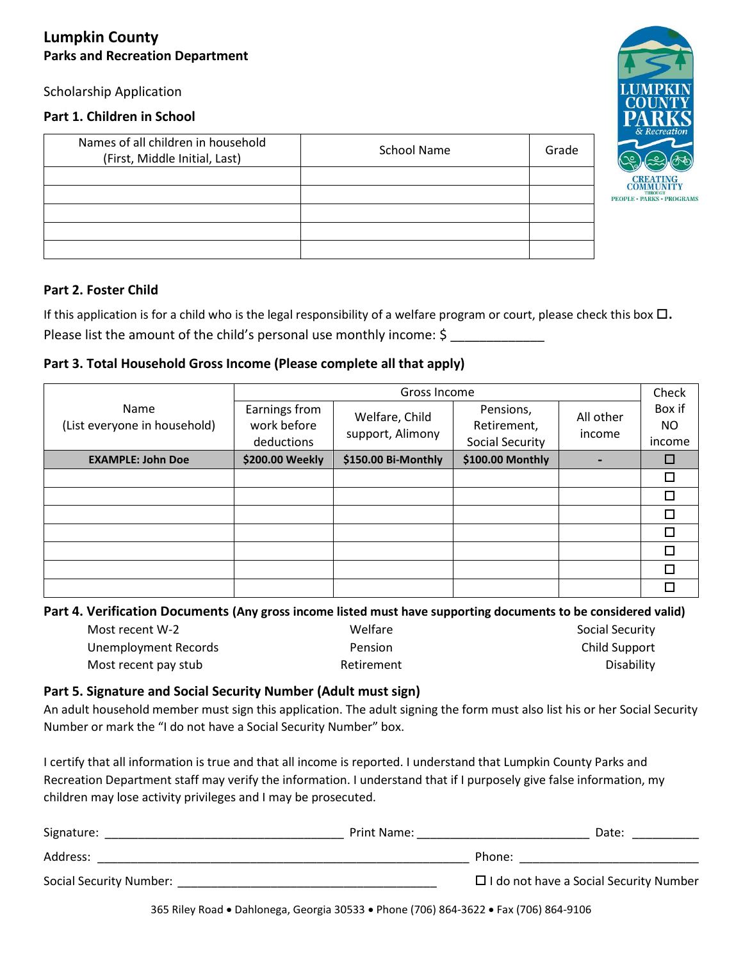## **Lumpkin County Parks and Recreation Department**

Scholarship Application

#### **Part 1. Children in School**

| Names of all children in household<br>(First, Middle Initial, Last) | School Name | Grade |
|---------------------------------------------------------------------|-------------|-------|
|                                                                     |             |       |
|                                                                     |             |       |
|                                                                     |             |       |
|                                                                     |             |       |
|                                                                     |             |       |

#### **Part 2. Foster Child**

If this application is for a child who is the legal responsibility of a welfare program or court, please check this box  $\Box$ . Please list the amount of the child's personal use monthly income: \$

### **Part 3. Total Household Gross Income (Please complete all that apply)**

|                                      | Gross Income                               |                                    |                                                    | Check               |                         |
|--------------------------------------|--------------------------------------------|------------------------------------|----------------------------------------------------|---------------------|-------------------------|
| Name<br>(List everyone in household) | Earnings from<br>work before<br>deductions | Welfare, Child<br>support, Alimony | Pensions,<br>Retirement,<br><b>Social Security</b> | All other<br>income | Box if<br>NO.<br>income |
| <b>EXAMPLE: John Doe</b>             | \$200.00 Weekly                            | \$150.00 Bi-Monthly                | \$100.00 Monthly                                   |                     |                         |
|                                      |                                            |                                    |                                                    |                     |                         |
|                                      |                                            |                                    |                                                    |                     |                         |
|                                      |                                            |                                    |                                                    |                     | п                       |
|                                      |                                            |                                    |                                                    |                     | п                       |
|                                      |                                            |                                    |                                                    |                     | п                       |
|                                      |                                            |                                    |                                                    |                     |                         |
|                                      |                                            |                                    |                                                    |                     |                         |

### **Part 4. Verification Documents (Any gross income listed must have supporting documents to be considered valid)**

| Most recent W-2      | Welfare        | Social Security |
|----------------------|----------------|-----------------|
| Unemployment Records | <b>Pension</b> | Child Support   |
| Most recent pay stub | Retirement     | Disability      |

# **Part 5. Signature and Social Security Number (Adult must sign)**

An adult household member must sign this application. The adult signing the form must also list his or her Social Security Number or mark the "I do not have a Social Security Number" box.

I certify that all information is true and that all income is reported. I understand that Lumpkin County Parks and Recreation Department staff may verify the information. I understand that if I purposely give false information, my children may lose activity privileges and I may be prosecuted.

| Signature:              | Print Name: | Date:                                         |
|-------------------------|-------------|-----------------------------------------------|
| Address:                | Phone:      |                                               |
| Social Security Number: |             | $\Box$ I do not have a Social Security Number |

365 Riley Road Dahlonega, Georgia 30533 Phone (706) 864-3622 Fax (706) 864-9106